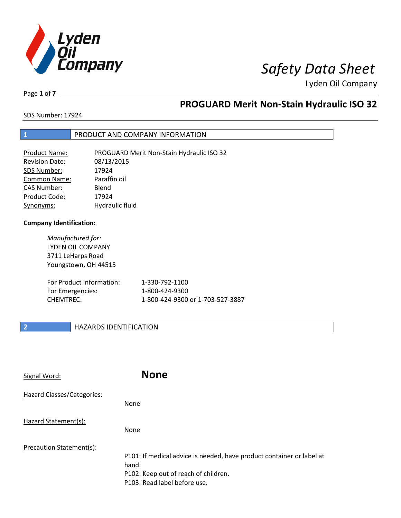

Page **1** of **7**

# **PROGUARD Merit Non-Stain Hydraulic ISO 32**

SDS Number: 17924

### **1** PRODUCT AND COMPANY INFORMATION

| <b>Product Name:</b>  | PROGUARD Merit Non-Stain Hydraulic ISO 32 |
|-----------------------|-------------------------------------------|
| <b>Revision Date:</b> | 08/13/2015                                |
| SDS Number:           | 17924                                     |
| <b>Common Name:</b>   | Paraffin oil                              |
| <b>CAS Number:</b>    | Blend                                     |
| Product Code:         | 17924                                     |
| Synonyms:             | Hydraulic fluid                           |

### **Company Identification:**

| Manufactured for:    |  |  |
|----------------------|--|--|
| LYDEN OIL COMPANY    |  |  |
| 3711 LeHarps Road    |  |  |
| Youngstown, OH 44515 |  |  |
|                      |  |  |

| For Product Information: | 1-330-792-1100                   |
|--------------------------|----------------------------------|
| For Emergencies:         | 1-800-424-9300                   |
| CHEMTREC:                | 1-800-424-9300 or 1-703-527-3887 |

### **2 HAZARDS IDENTIFICATION**

| Signal Word:                      | <b>None</b>                                                                                                                                            |
|-----------------------------------|--------------------------------------------------------------------------------------------------------------------------------------------------------|
| <b>Hazard Classes/Categories:</b> | None                                                                                                                                                   |
| Hazard Statement(s):              | None                                                                                                                                                   |
| Precaution Statement(s):          | P101: If medical advice is needed, have product container or label at<br>hand.<br>P102: Keep out of reach of children.<br>P103: Read label before use. |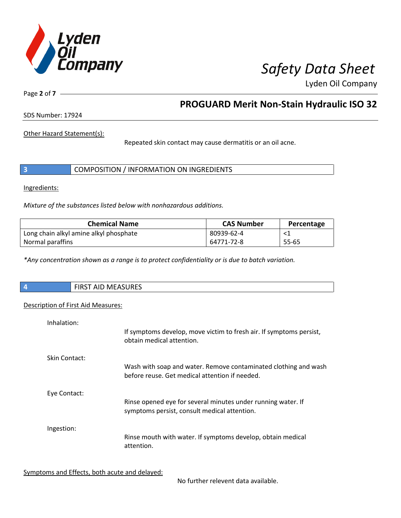

Page **2** of **7**

## **PROGUARD Merit Non-Stain Hydraulic ISO 32**

SDS Number: 17924

Other Hazard Statement(s):

Repeated skin contact may cause dermatitis or an oil acne.

|  |  | COMPOSITION / INFORMATION ON INGREDIENTS |
|--|--|------------------------------------------|
|--|--|------------------------------------------|

Ingredients:

*Mixture of the substances listed below with nonhazardous additions.*

| <b>Chemical Name</b>                   | <b>CAS Number</b> | Percentage |
|----------------------------------------|-------------------|------------|
| Long chain alkyl amine alkyl phosphate | 80939-62-4        |            |
| Normal paraffins                       | 64771-72-8        | 55-65      |

*\*Any concentration shown as a range is to protect confidentiality or is due to batch variation.*

| <b>FIRST AID MEASURES</b> |
|---------------------------|
|                           |

### Description of First Aid Measures:

| Inhalation:   | If symptoms develop, move victim to fresh air. If symptoms persist,<br>obtain medical attention.                  |
|---------------|-------------------------------------------------------------------------------------------------------------------|
| Skin Contact: | Wash with soap and water. Remove contaminated clothing and wash<br>before reuse. Get medical attention if needed. |
| Eye Contact:  | Rinse opened eye for several minutes under running water. If<br>symptoms persist, consult medical attention.      |
| Ingestion:    | Rinse mouth with water. If symptoms develop, obtain medical<br>attention.                                         |

Symptoms and Effects, both acute and delayed:

No further relevent data available.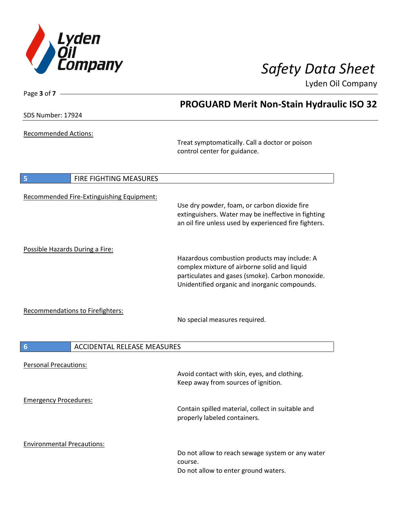

Page **3** of **7**

Lyden Oil Company

|                                                       | <b>PROGUARD Merit Non-Stain Hydraulic ISO 32</b>                                                                                                                                                  |
|-------------------------------------------------------|---------------------------------------------------------------------------------------------------------------------------------------------------------------------------------------------------|
| SDS Number: 17924                                     |                                                                                                                                                                                                   |
| <b>Recommended Actions:</b>                           | Treat symptomatically. Call a doctor or poison<br>control center for guidance.                                                                                                                    |
| 5<br><b>FIRE FIGHTING MEASURES</b>                    |                                                                                                                                                                                                   |
| Recommended Fire-Extinguishing Equipment:             | Use dry powder, foam, or carbon dioxide fire<br>extinguishers. Water may be ineffective in fighting<br>an oil fire unless used by experienced fire fighters.                                      |
| Possible Hazards During a Fire:                       | Hazardous combustion products may include: A<br>complex mixture of airborne solid and liquid<br>particulates and gases (smoke). Carbon monoxide.<br>Unidentified organic and inorganic compounds. |
| Recommendations to Firefighters:                      | No special measures required.                                                                                                                                                                     |
| <b>ACCIDENTAL RELEASE MEASURES</b><br>$6\phantom{1}6$ |                                                                                                                                                                                                   |
| <b>Personal Precautions:</b>                          | Avoid contact with skin, eyes, and clothing.<br>Keep away from sources of ignition.                                                                                                               |
| <b>Emergency Procedures:</b>                          | Contain spilled material, collect in suitable and<br>properly labeled containers.                                                                                                                 |
| <b>Environmental Precautions:</b>                     | Do not allow to reach sewage system or any water<br>course.<br>Do not allow to enter ground waters.                                                                                               |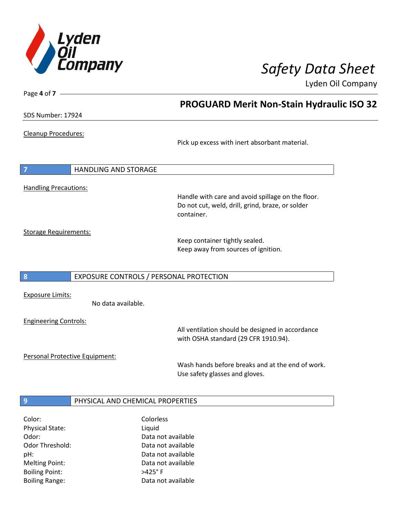

SDS Number: 17924

Page **4** of **7**

Cleanup Procedures:

Pick up excess with inert absorbant material.

**PROGUARD Merit Non-Stain Hydraulic ISO 32**

**7** HANDLING AND STORAGE Handling Precautions:

> Handle with care and avoid spillage on the floor. Do not cut, weld, drill, grind, braze, or solder container.

Storage Requirements:

Keep container tightly sealed. Keep away from sources of ignition.

### **8** EXPOSURE CONTROLS / PERSONAL PROTECTION

Exposure Limits:

No data available.

Engineering Controls:

All ventilation should be designed in accordance with OSHA standard (29 CFR 1910.94).

Personal Protective Equipment:

Wash hands before breaks and at the end of work. Use safety glasses and gloves.

### **9 PHYSICAL AND CHEMICAL PROPERTIES**

| Color:                 | Colorless          |
|------------------------|--------------------|
| <b>Physical State:</b> | Liquid             |
| Odor:                  | Data not available |
| <b>Odor Threshold:</b> | Data not available |
| pH:                    | Data not available |
| <b>Melting Point:</b>  | Data not available |
| <b>Boiling Point:</b>  | $>425^\circ$ F     |
| <b>Boiling Range:</b>  | Data not available |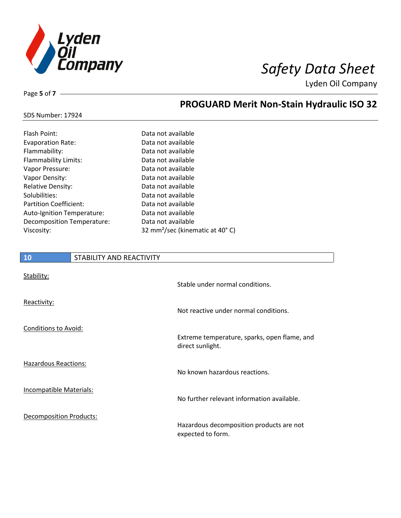

**PROGUARD Merit Non-Stain Hydraulic ISO 32**

Lyden Oil Company

### SDS Number: 17924

Page **5** of **7**

| Flash Point:                  | Data not available                          |
|-------------------------------|---------------------------------------------|
| <b>Evaporation Rate:</b>      | Data not available                          |
| Flammability:                 | Data not available                          |
| <b>Flammability Limits:</b>   | Data not available                          |
| Vapor Pressure:               | Data not available                          |
| Vapor Density:                | Data not available                          |
| <b>Relative Density:</b>      | Data not available                          |
| Solubilities:                 | Data not available                          |
| <b>Partition Coefficient:</b> | Data not available                          |
| Auto-Ignition Temperature:    | Data not available                          |
| Decomposition Temperature:    | Data not available                          |
| Viscosity:                    | 32 mm <sup>2</sup> /sec (kinematic at 40°C) |

| 10                             | STABILITY AND REACTIVITY |                                                                  |
|--------------------------------|--------------------------|------------------------------------------------------------------|
| Stability:                     |                          | Stable under normal conditions.                                  |
| Reactivity:                    |                          | Not reactive under normal conditions.                            |
| Conditions to Avoid:           |                          | Extreme temperature, sparks, open flame, and<br>direct sunlight. |
| <b>Hazardous Reactions:</b>    |                          | No known hazardous reactions.                                    |
| <b>Incompatible Materials:</b> |                          | No further relevant information available.                       |
| <b>Decomposition Products:</b> |                          | Hazardous decomposition products are not<br>expected to form.    |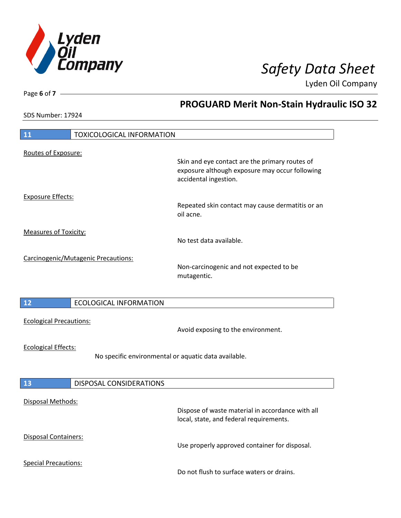

**PROGUARD Merit Non-Stain Hydraulic ISO 32**

Lyden Oil Company

SDS Number: 17924

Page **6** of **7**

| <b>TOXICOLOGICAL INFORMATION</b><br>11               |                                                                                                                           |
|------------------------------------------------------|---------------------------------------------------------------------------------------------------------------------------|
|                                                      |                                                                                                                           |
| Routes of Exposure:                                  |                                                                                                                           |
|                                                      | Skin and eye contact are the primary routes of<br>exposure although exposure may occur following<br>accidental ingestion. |
| <b>Exposure Effects:</b>                             |                                                                                                                           |
|                                                      | Repeated skin contact may cause dermatitis or an<br>oil acne.                                                             |
| <b>Measures of Toxicity:</b>                         |                                                                                                                           |
|                                                      | No test data available.                                                                                                   |
| Carcinogenic/Mutagenic Precautions:                  |                                                                                                                           |
|                                                      | Non-carcinogenic and not expected to be<br>mutagentic.                                                                    |
|                                                      |                                                                                                                           |
| <b>ECOLOGICAL INFORMATION</b><br>$\overline{12}$     |                                                                                                                           |
| <b>Ecological Precautions:</b>                       |                                                                                                                           |
|                                                      | Avoid exposing to the environment.                                                                                        |
| <b>Ecological Effects:</b>                           |                                                                                                                           |
| No specific environmental or aquatic data available. |                                                                                                                           |
|                                                      |                                                                                                                           |
| 13<br>DISPOSAL CONSIDERATIONS                        |                                                                                                                           |
| Disposal Methods:                                    |                                                                                                                           |
|                                                      | Dispose of waste material in accordance with all<br>local, state, and federal requirements.                               |
| Disposal Containers:                                 |                                                                                                                           |
|                                                      | Use properly approved container for disposal.                                                                             |
| <b>Special Precautions:</b>                          |                                                                                                                           |
|                                                      | Do not flush to surface waters or drains.                                                                                 |